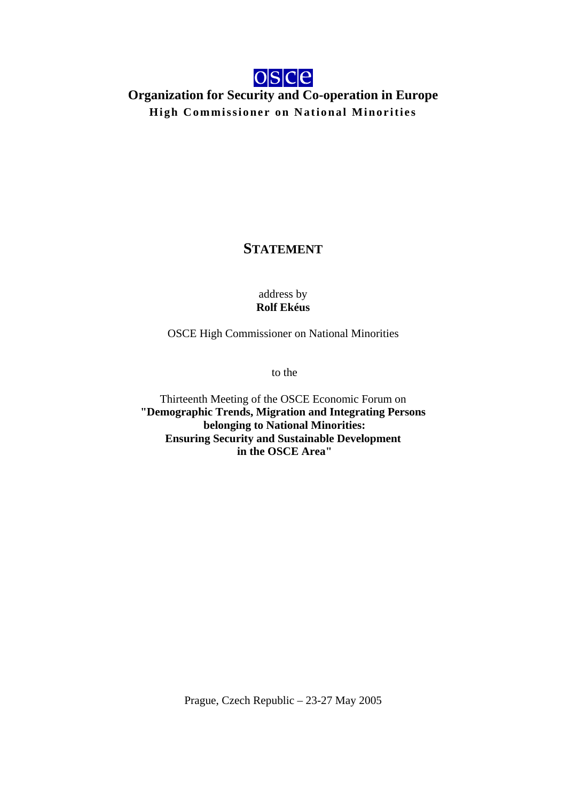

## **Organization for Security and Co-operation in Europe High Commissioner on National Minorities**

## **STATEMENT**

address by **Rolf Ekéus** 

OSCE High Commissioner on National Minorities

to the

Thirteenth Meeting of the OSCE Economic Forum on **"Demographic Trends, Migration and Integrating Persons belonging to National Minorities: Ensuring Security and Sustainable Development in the OSCE Area"** 

Prague, Czech Republic – 23-27 May 2005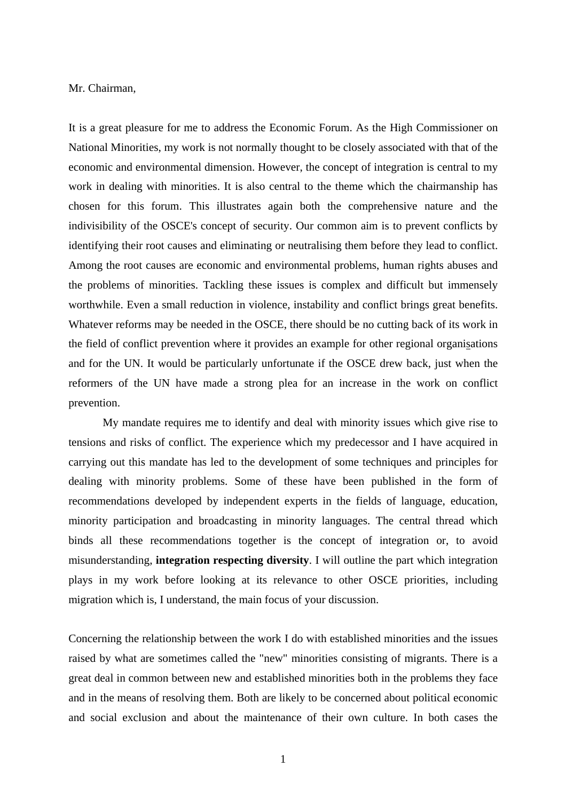Mr. Chairman,

It is a great pleasure for me to address the Economic Forum. As the High Commissioner on National Minorities, my work is not normally thought to be closely associated with that of the economic and environmental dimension. However, the concept of integration is central to my work in dealing with minorities. It is also central to the theme which the chairmanship has chosen for this forum. This illustrates again both the comprehensive nature and the indivisibility of the OSCE's concept of security. Our common aim is to prevent conflicts by identifying their root causes and eliminating or neutralising them before they lead to conflict. Among the root causes are economic and environmental problems, human rights abuses and the problems of minorities. Tackling these issues is complex and difficult but immensely worthwhile. Even a small reduction in violence, instability and conflict brings great benefits. Whatever reforms may be needed in the OSCE, there should be no cutting back of its work in the field of conflict prevention where it provides an example for other regional organisations and for the UN. It would be particularly unfortunate if the OSCE drew back, just when the reformers of the UN have made a strong plea for an increase in the work on conflict prevention.

 My mandate requires me to identify and deal with minority issues which give rise to tensions and risks of conflict. The experience which my predecessor and I have acquired in carrying out this mandate has led to the development of some techniques and principles for dealing with minority problems. Some of these have been published in the form of recommendations developed by independent experts in the fields of language, education, minority participation and broadcasting in minority languages. The central thread which binds all these recommendations together is the concept of integration or, to avoid misunderstanding, **integration respecting diversity**. I will outline the part which integration plays in my work before looking at its relevance to other OSCE priorities, including migration which is, I understand, the main focus of your discussion.

Concerning the relationship between the work I do with established minorities and the issues raised by what are sometimes called the "new" minorities consisting of migrants. There is a great deal in common between new and established minorities both in the problems they face and in the means of resolving them. Both are likely to be concerned about political economic and social exclusion and about the maintenance of their own culture. In both cases the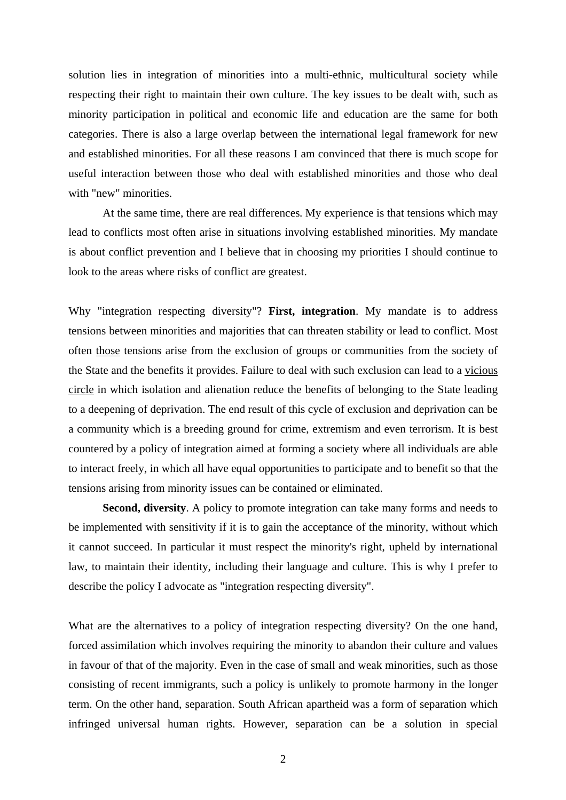solution lies in integration of minorities into a multi-ethnic, multicultural society while respecting their right to maintain their own culture. The key issues to be dealt with, such as minority participation in political and economic life and education are the same for both categories. There is also a large overlap between the international legal framework for new and established minorities. For all these reasons I am convinced that there is much scope for useful interaction between those who deal with established minorities and those who deal with "new" minorities.

 At the same time, there are real differences. My experience is that tensions which may lead to conflicts most often arise in situations involving established minorities. My mandate is about conflict prevention and I believe that in choosing my priorities I should continue to look to the areas where risks of conflict are greatest.

Why "integration respecting diversity"? **First, integration**. My mandate is to address tensions between minorities and majorities that can threaten stability or lead to conflict. Most often those tensions arise from the exclusion of groups or communities from the society of the State and the benefits it provides. Failure to deal with such exclusion can lead to a vicious circle in which isolation and alienation reduce the benefits of belonging to the State leading to a deepening of deprivation. The end result of this cycle of exclusion and deprivation can be a community which is a breeding ground for crime, extremism and even terrorism. It is best countered by a policy of integration aimed at forming a society where all individuals are able to interact freely, in which all have equal opportunities to participate and to benefit so that the tensions arising from minority issues can be contained or eliminated.

**Second, diversity**. A policy to promote integration can take many forms and needs to be implemented with sensitivity if it is to gain the acceptance of the minority, without which it cannot succeed. In particular it must respect the minority's right, upheld by international law, to maintain their identity, including their language and culture. This is why I prefer to describe the policy I advocate as "integration respecting diversity".

What are the alternatives to a policy of integration respecting diversity? On the one hand, forced assimilation which involves requiring the minority to abandon their culture and values in favour of that of the majority. Even in the case of small and weak minorities, such as those consisting of recent immigrants, such a policy is unlikely to promote harmony in the longer term. On the other hand, separation. South African apartheid was a form of separation which infringed universal human rights. However, separation can be a solution in special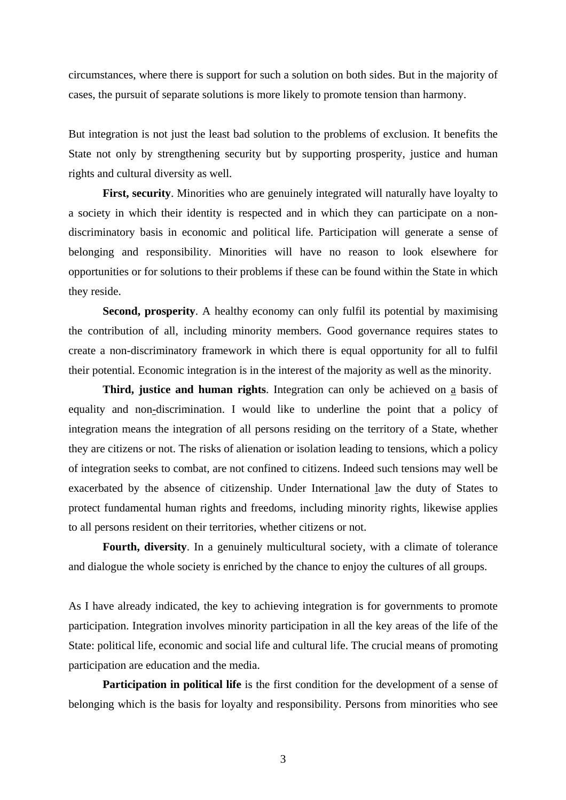circumstances, where there is support for such a solution on both sides. But in the majority of cases, the pursuit of separate solutions is more likely to promote tension than harmony.

But integration is not just the least bad solution to the problems of exclusion. It benefits the State not only by strengthening security but by supporting prosperity, justice and human rights and cultural diversity as well.

**First, security**. Minorities who are genuinely integrated will naturally have loyalty to a society in which their identity is respected and in which they can participate on a nondiscriminatory basis in economic and political life. Participation will generate a sense of belonging and responsibility. Minorities will have no reason to look elsewhere for opportunities or for solutions to their problems if these can be found within the State in which they reside.

**Second, prosperity**. A healthy economy can only fulfil its potential by maximising the contribution of all, including minority members. Good governance requires states to create a non-discriminatory framework in which there is equal opportunity for all to fulfil their potential. Economic integration is in the interest of the majority as well as the minority.

**Third, justice and human rights**. Integration can only be achieved on a basis of equality and non-discrimination. I would like to underline the point that a policy of integration means the integration of all persons residing on the territory of a State, whether they are citizens or not. The risks of alienation or isolation leading to tensions, which a policy of integration seeks to combat, are not confined to citizens. Indeed such tensions may well be exacerbated by the absence of citizenship. Under International law the duty of States to protect fundamental human rights and freedoms, including minority rights, likewise applies to all persons resident on their territories, whether citizens or not.

Fourth, diversity. In a genuinely multicultural society, with a climate of tolerance and dialogue the whole society is enriched by the chance to enjoy the cultures of all groups.

As I have already indicated, the key to achieving integration is for governments to promote participation. Integration involves minority participation in all the key areas of the life of the State: political life, economic and social life and cultural life. The crucial means of promoting participation are education and the media.

**Participation in political life** is the first condition for the development of a sense of belonging which is the basis for loyalty and responsibility. Persons from minorities who see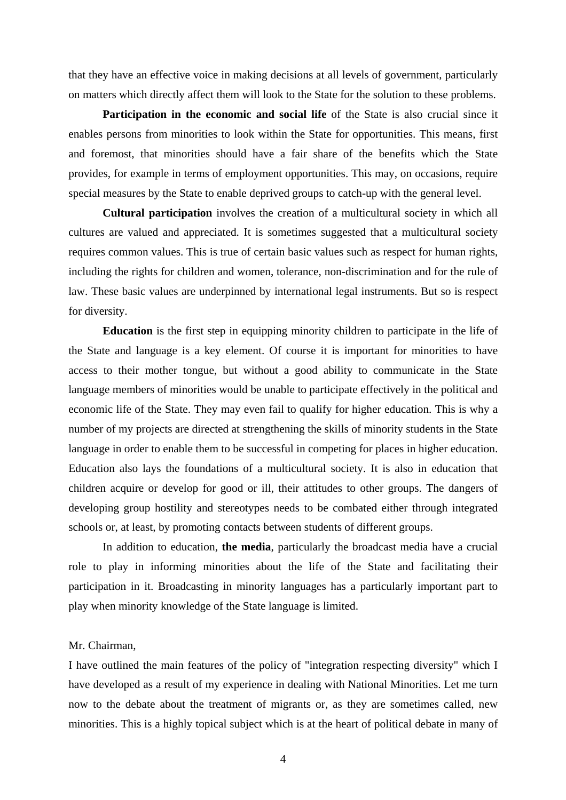that they have an effective voice in making decisions at all levels of government, particularly on matters which directly affect them will look to the State for the solution to these problems.

**Participation in the economic and social life** of the State is also crucial since it enables persons from minorities to look within the State for opportunities. This means, first and foremost, that minorities should have a fair share of the benefits which the State provides, for example in terms of employment opportunities. This may, on occasions, require special measures by the State to enable deprived groups to catch-up with the general level.

**Cultural participation** involves the creation of a multicultural society in which all cultures are valued and appreciated. It is sometimes suggested that a multicultural society requires common values. This is true of certain basic values such as respect for human rights, including the rights for children and women, tolerance, non-discrimination and for the rule of law. These basic values are underpinned by international legal instruments. But so is respect for diversity.

**Education** is the first step in equipping minority children to participate in the life of the State and language is a key element. Of course it is important for minorities to have access to their mother tongue, but without a good ability to communicate in the State language members of minorities would be unable to participate effectively in the political and economic life of the State. They may even fail to qualify for higher education. This is why a number of my projects are directed at strengthening the skills of minority students in the State language in order to enable them to be successful in competing for places in higher education. Education also lays the foundations of a multicultural society. It is also in education that children acquire or develop for good or ill, their attitudes to other groups. The dangers of developing group hostility and stereotypes needs to be combated either through integrated schools or, at least, by promoting contacts between students of different groups.

 In addition to education, **the media**, particularly the broadcast media have a crucial role to play in informing minorities about the life of the State and facilitating their participation in it. Broadcasting in minority languages has a particularly important part to play when minority knowledge of the State language is limited.

## Mr. Chairman,

I have outlined the main features of the policy of "integration respecting diversity" which I have developed as a result of my experience in dealing with National Minorities. Let me turn now to the debate about the treatment of migrants or, as they are sometimes called, new minorities. This is a highly topical subject which is at the heart of political debate in many of